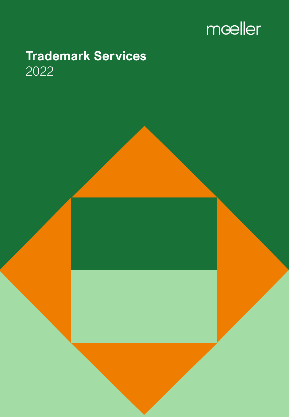

# **Trademark Services** 2022

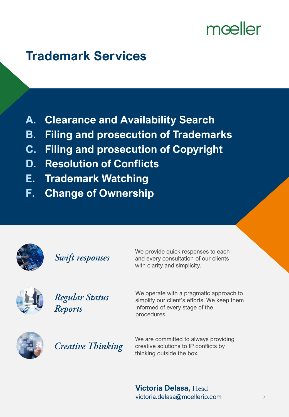# mœller

# **Trademark Services**

- **A. Clearance and Availability Search**
- **B. Filing and prosecution of Trademarks**
- **C. Filing and prosecution of Copyright**
- **D. Resolution of Conflicts**
- **E. Trademark Watching**
- **F. Change of Ownership**



Swift responses

We provide quick responses to each and every consultation of our clients with clarity and simplicity.



Regular Status **Reports** 

We operate with a pragmatic approach to simplify our client's efforts. We keep them informed of every stage of the procedures.



**Creative Thinking** 

We are committed to always providing creative solutions to IP conflicts by thinking outside the box.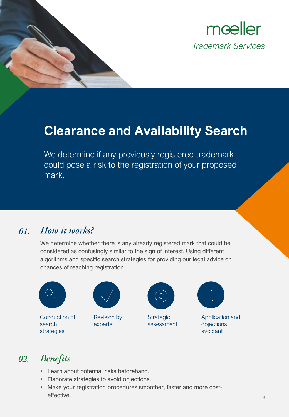

### **Clearance and Availability Search**

We determine if any previously registered trademark could pose a risk to the registration of your proposed mark.

#### How it works? 01.

We determine whether there is any already registered mark that could be considered as confusingly similar to the sign of interest. Using different algorithms and specific search strategies for providing our legal advice on chances of reaching registration.



#### **Benefits** 02.

- Learn about potential risks beforehand.
- Elaborate strategies to avoid objections.
- Make your registration procedures smoother, faster and more costeffective.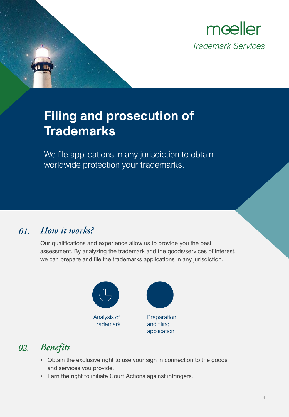

# **Filing and prosecution of Trademarks**

We file applications in any jurisdiction to obtain worldwide protection your trademarks.

#### How it works? 01.

Our qualifications and experience allow us to provide you the best assessment. By analyzing the trademark and the goods/services of interest, we can prepare and file the trademarks applications in any jurisdiction.



### 02. Benefits

- Obtain the exclusive right to use your sign in connection to the goods and services you provide.
- Earn the right to initiate Court Actions against infringers.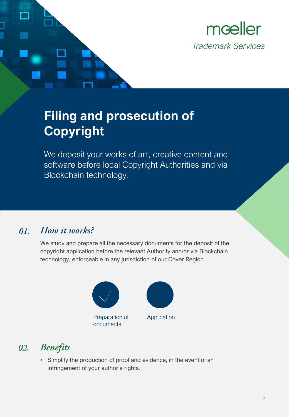

# **Filing and prosecution of Copyright**

We deposit your works of art, creative content and software before local Copyright Authorities and via Blockchain technology.

#### How it works? 01.

We study and prepare all the necessary documents for the deposit of the copyright application before the relevant Authority and/or via Blockchain technology, enforceable in any jurisdiction of our Cover Region.



#### **Benefits** 02.

• Simplify the production of proof and evidence, in the event of an infringement of your author's rights.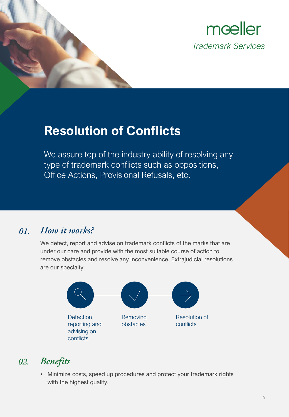



## **Resolution of Conflicts**

We assure top of the industry ability of resolving any type of trademark conflicts such as oppositions, Office Actions, Provisional Refusals, etc.

#### How it works? 01.

We detect, report and advise on trademark conflicts of the marks that are under our care and provide with the most suitable course of action to remove obstacles and resolve any inconvenience. Extrajudicial resolutions are our specialty.



#### **Benefits** 02.

• Minimize costs, speed up procedures and protect your trademark rights with the highest quality.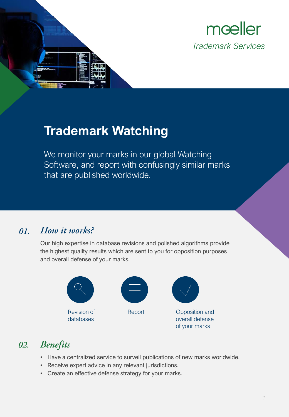



### **Trademark Watching**

We monitor your marks in our global Watching Software, and report with confusingly similar marks that are published worldwide.

#### How it works? 01.

Our high expertise in database revisions and polished algorithms provide the highest quality results which are sent to you for opposition purposes and overall defense of your marks.



### 02. Benefits

- Have a centralized service to surveil publications of new marks worldwide.
- Receive expert advice in any relevant jurisdictions.
- Create an effective defense strategy for your marks.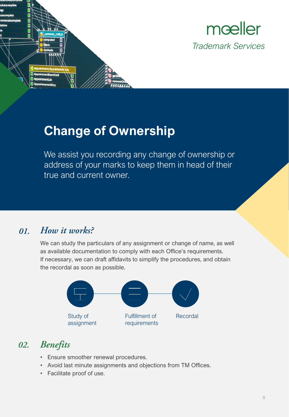



## **Change of Ownership**

We assist you recording any change of ownership or address of your marks to keep them in head of their true and current owner.

#### How it works? 01.

We can study the particulars of any assignment or change of name, as well as available documentation to comply with each Office's requirements. If necessary, we can draft affidavits to simplify the procedures, and obtain the recordal as soon as possible.



### 02. Benefits

- Ensure smoother renewal procedures.
- Avoid last minute assignments and objections from TM Offices.
- Facilitate proof of use.